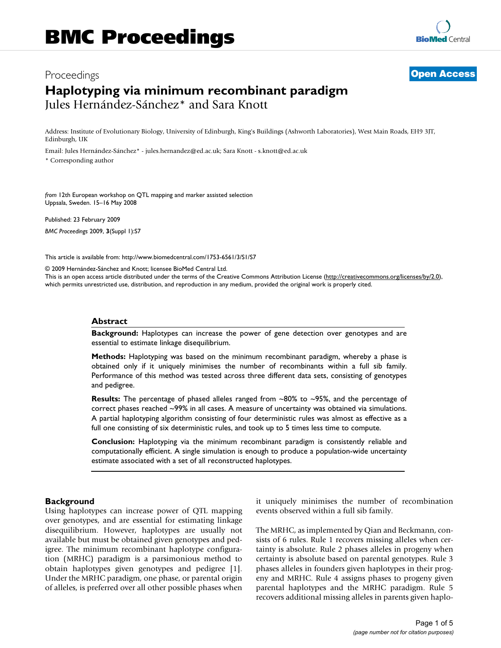# Proceedings **[Open Access](http://www.biomedcentral.com/info/about/charter/) Haplotyping via minimum recombinant paradigm** Jules Hernández-Sánchez\* and Sara Knott

Address: Institute of Evolutionary Biology, University of Edinburgh, King's Buildings (Ashworth Laboratories), West Main Roads, EH9 3JT, Edinburgh, UK

Email: Jules Hernández-Sánchez\* - jules.hernandez@ed.ac.uk; Sara Knott - s.knott@ed.ac.uk

\* Corresponding author

*from* 12th European workshop on QTL mapping and marker assisted selection Uppsala, Sweden. 15–16 May 2008

Published: 23 February 2009 *BMC Proceedings* 2009, **3**(Suppl 1):S7

[This article is available from: http://www.biomedcentral.com/1753-6561/3/S1/S7](http://www.biomedcentral.com/1753-6561/3/S1/S7)

© 2009 Hernández-Sánchez and Knott; licensee BioMed Central Ltd.

This is an open access article distributed under the terms of the Creative Commons Attribution License [\(http://creativecommons.org/licenses/by/2.0\)](http://creativecommons.org/licenses/by/2.0), which permits unrestricted use, distribution, and reproduction in any medium, provided the original work is properly cited.

#### **Abstract**

**Background:** Haplotypes can increase the power of gene detection over genotypes and are essential to estimate linkage disequilibrium.

**Methods:** Haplotyping was based on the minimum recombinant paradigm, whereby a phase is obtained only if it uniquely minimises the number of recombinants within a full sib family. Performance of this method was tested across three different data sets, consisting of genotypes and pedigree.

**Results:** The percentage of phased alleles ranged from ~80% to ~95%, and the percentage of correct phases reached ~99% in all cases. A measure of uncertainty was obtained via simulations. A partial haplotyping algorithm consisting of four deterministic rules was almost as effective as a full one consisting of six deterministic rules, and took up to 5 times less time to compute.

**Conclusion:** Haplotyping via the minimum recombinant paradigm is consistently reliable and computationally efficient. A single simulation is enough to produce a population-wide uncertainty estimate associated with a set of all reconstructed haplotypes.

#### **Background**

Using haplotypes can increase power of QTL mapping over genotypes, and are essential for estimating linkage disequilibrium. However, haplotypes are usually not available but must be obtained given genotypes and pedigree. The minimum recombinant haplotype configuration (MRHC) paradigm is a parsimonious method to obtain haplotypes given genotypes and pedigree [1]. Under the MRHC paradigm, one phase, or parental origin of alleles, is preferred over all other possible phases when it uniquely minimises the number of recombination events observed within a full sib family.

The MRHC, as implemented by Qian and Beckmann, consists of 6 rules. Rule 1 recovers missing alleles when certainty is absolute. Rule 2 phases alleles in progeny when certainty is absolute based on parental genotypes. Rule 3 phases alleles in founders given haplotypes in their progeny and MRHC. Rule 4 assigns phases to progeny given parental haplotypes and the MRHC paradigm. Rule 5 recovers additional missing alleles in parents given haplo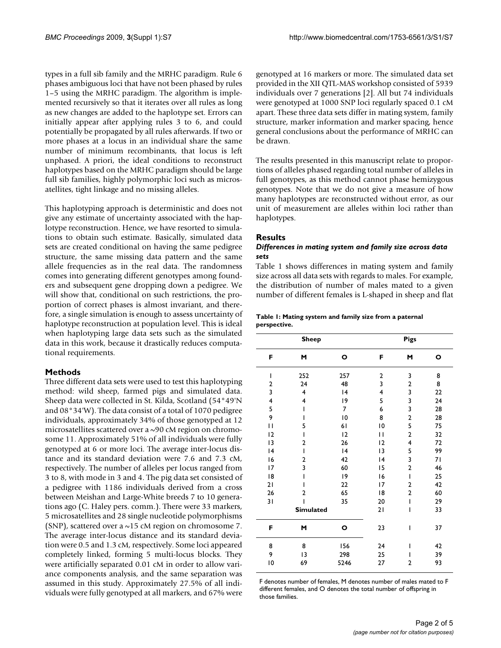types in a full sib family and the MRHC paradigm. Rule 6 phases ambiguous loci that have not been phased by rules 1–5 using the MRHC paradigm. The algorithm is implemented recursively so that it iterates over all rules as long as new changes are added to the haplotype set. Errors can initially appear after applying rules 3 to 6, and could potentially be propagated by all rules afterwards. If two or more phases at a locus in an individual share the same number of minimum recombinants, that locus is left unphased. A priori, the ideal conditions to reconstruct haplotypes based on the MRHC paradigm should be large full sib families, highly polymorphic loci such as microsatellites, tight linkage and no missing alleles.

This haplotyping approach is deterministic and does not give any estimate of uncertainty associated with the haplotype reconstruction. Hence, we have resorted to simulations to obtain such estimate. Basically, simulated data sets are created conditional on having the same pedigree structure, the same missing data pattern and the same allele frequencies as in the real data. The randomness comes into generating different genotypes among founders and subsequent gene dropping down a pedigree. We will show that, conditional on such restrictions, the proportion of correct phases is almost invariant, and therefore, a single simulation is enough to assess uncertainty of haplotype reconstruction at population level. This is ideal when haplotyping large data sets such as the simulated data in this work, because it drastically reduces computational requirements.

## **Methods**

Three different data sets were used to test this haplotyping method: wild sheep, farmed pigs and simulated data. Sheep data were collected in St. Kilda, Scotland (54°49'N and 08°34'W). The data consist of a total of 1070 pedigree individuals, approximately 34% of those genotyped at 12 microsatellites scattered over a ~90 cM region on chromosome 11. Approximately 51% of all individuals were fully genotyped at 6 or more loci. The average inter-locus distance and its standard deviation were 7.6 and 7.3 cM, respectively. The number of alleles per locus ranged from 3 to 8, with mode in 3 and 4. The pig data set consisted of a pedigree with 1186 individuals derived from a cross between Meishan and Large-White breeds 7 to 10 generations ago (C. Haley pers. comm.). There were 33 markers, 5 microsatellites and 28 single nucleotide polymorphisms (SNP), scattered over a  $\sim$  15 cM region on chromosome 7. The average inter-locus distance and its standard deviation were 0.5 and 1.3 cM, respectively. Some loci appeared completely linked, forming 5 multi-locus blocks. They were artificially separated 0.01 cM in order to allow variance components analysis, and the same separation was assumed in this study. Approximately 27.5% of all individuals were fully genotyped at all markers, and 67% were genotyped at 16 markers or more. The simulated data set provided in the XII QTL-MAS workshop consisted of 5939 individuals over 7 generations [2]. All but 74 individuals were genotyped at 1000 SNP loci regularly spaced 0.1 cM apart. These three data sets differ in mating system, family structure, marker information and marker spacing, hence general conclusions about the performance of MRHC can be drawn.

The results presented in this manuscript relate to proportions of alleles phased regarding total number of alleles in full genotypes, as this method cannot phase hemizygous genotypes. Note that we do not give a measure of how many haplotypes are reconstructed without error, as our unit of measurement are alleles within loci rather than haplotypes.

### **Results**

### *Differences in mating system and family size across data sets*

Table 1 shows differences in mating system and family size across all data sets with regards to males. For example, the distribution of number of males mated to a given number of different females is L-shaped in sheep and flat

#### **Table 1: Mating system and family size from a paternal perspective.**

|    | <b>Sheep</b>            |                 | <b>Pigs</b>    |                |    |  |
|----|-------------------------|-----------------|----------------|----------------|----|--|
| F  | M                       | ο               | F              | M              | ο  |  |
| I  | 252                     | 257             | $\overline{2}$ | 3              | 8  |  |
| 2  | 24                      | 48              | 3              | $\mathbf{2}$   | 8  |  |
| 3  | $\overline{4}$          | 4               | 4              | 3              | 22 |  |
| 4  | $\overline{4}$          | 19              | 5              | 3              | 24 |  |
| 5  | I                       | 7               | 6              | 3              | 28 |  |
| 9  | I                       | $\overline{10}$ | 8              | $\mathbf 2$    | 28 |  |
| П  | 5                       | 61              | 10             | 5              | 75 |  |
| 12 | I                       | 12              | П              | $\mathbf{2}$   | 32 |  |
| 13 | $\overline{\mathbf{c}}$ | 26              | 12             | $\overline{4}$ | 72 |  |
| 4  | I                       | 4               | 13             | 5              | 99 |  |
| 16 | $\overline{2}$          | 42              | 4              | 3              | 71 |  |
| 17 | 3                       | 60              | 15             | 2              | 46 |  |
| 18 | $\mathsf{I}$            | 19              | 16             | $\overline{1}$ | 25 |  |
| 21 | ı                       | 22              | 17             | $\overline{2}$ | 42 |  |
| 26 | $\overline{2}$          | 65              | 18             | 2              | 60 |  |
| 31 | ı                       | 35              | 20             | $\mathsf{I}$   | 29 |  |
|    | <b>Simulated</b>        |                 | 21             | I              | 33 |  |
| F  | M                       | O               | 23             | I              | 37 |  |
| 8  | 8                       | 156             | 24             | I              | 42 |  |
| 9  | 13                      | 298             | 25             | ı              | 39 |  |
| 10 | 69                      | 5246            | 27             | 2              | 93 |  |

F denotes number of females, M denotes number of males mated to F different females, and O denotes the total number of offspring in those families.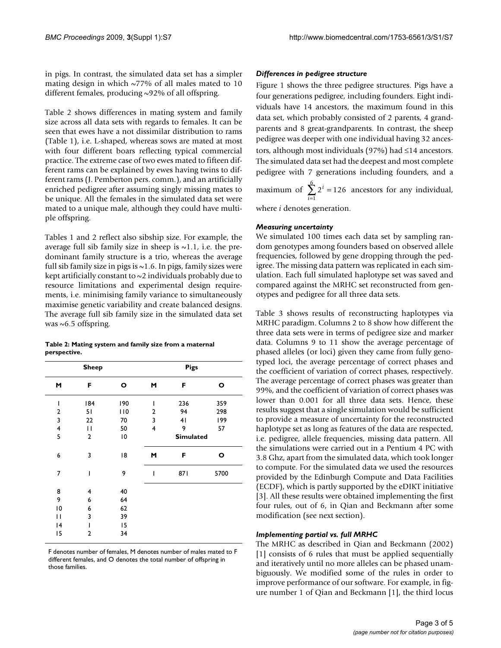in pigs. In contrast, the simulated data set has a simpler mating design in which  $\sim$ 77% of all males mated to 10 different females, producing ~92% of all offspring.

Table 2 shows differences in mating system and family size across all data sets with regards to females. It can be seen that ewes have a not dissimilar distribution to rams (Table 1), i.e. L-shaped, whereas sows are mated at most with four different boars reflecting typical commercial practice. The extreme case of two ewes mated to fifteen different rams can be explained by ewes having twins to different rams (J. Pemberton pers. comm.), and an artificially enriched pedigree after assuming singly missing mates to be unique. All the females in the simulated data set were mated to a unique male, although they could have multiple offspring.

Tables 1 and 2 reflect also sibship size. For example, the average full sib family size in sheep is  $\sim$ 1.1, i.e. the predominant family structure is a trio, whereas the average full sib family size in pigs is  $\sim$  1.6. In pigs, family sizes were kept artificially constant to  $\sim$ 2 individuals probably due to resource limitations and experimental design requirements, i.e. minimising family variance to simultaneously maximise genetic variability and create balanced designs. The average full sib family size in the simulated data set was  $~6.5$  offspring.

|              | Table 2: Mating system and family size from a maternal |
|--------------|--------------------------------------------------------|
| perspective. |                                                        |

|    | <b>Sheep</b> |     |                  | <b>Pigs</b> |      |  |  |
|----|--------------|-----|------------------|-------------|------|--|--|
| M  | F            | O   | M                | F           | O    |  |  |
| I  | 184          | 190 | I                | 236         | 359  |  |  |
| 2  | 51           | 110 | 2                | 94          | 298  |  |  |
| 3  | 22           | 70  | 3                | 41          | 199  |  |  |
| 4  | П            | 50  | 4                | 9           | 57   |  |  |
| 5  | 2            | 10  | <b>Simulated</b> |             |      |  |  |
| 6  | 3            | 18  | M                | F           | o    |  |  |
| 7  | ı            | 9   | I                | 871         | 5700 |  |  |
| 8  | 4            | 40  |                  |             |      |  |  |
| 9  | 6            | 64  |                  |             |      |  |  |
| 10 | 6            | 62  |                  |             |      |  |  |
| П  | 3            | 39  |                  |             |      |  |  |
| 4  | ı            | 15  |                  |             |      |  |  |
| 15 | 2            | 34  |                  |             |      |  |  |

F denotes number of females, M denotes number of males mated to F different females, and O denotes the total number of offspring in those families.

## *Differences in pedigree structure*

Figure 1 shows the three pedigree structures. Pigs have a four generations pedigree, including founders. Eight individuals have 14 ancestors, the maximum found in this data set, which probably consisted of 2 parents, 4 grandparents and 8 great-grandparents. In contrast, the sheep pedigree was deeper with one individual having 32 ancestors, although most individuals (97%) had ≤14 ancestors. The simulated data set had the deepest and most complete pedigree with 7 generations including founders, and a

maximum of  $\sum 2^{i} = 126$  ancestors for any individual, where *i* denotes generation. 1  $\frac{6}{2}$   $\frac{1}{2}$  $\sum_{i=1}^{n} 2^{i} =$ 

# *Measuring uncertainty*

We simulated 100 times each data set by sampling random genotypes among founders based on observed allele frequencies, followed by gene dropping through the pedigree. The missing data pattern was replicated in each simulation. Each full simulated haplotype set was saved and compared against the MRHC set reconstructed from genotypes and pedigree for all three data sets.

Table 3 shows results of reconstructing haplotypes via MRHC paradigm. Columns 2 to 8 show how different the three data sets were in terms of pedigree size and marker data. Columns 9 to 11 show the average percentage of phased alleles (or loci) given they came from fully genotyped loci, the average percentage of correct phases and the coefficient of variation of correct phases, respectively. The average percentage of correct phases was greater than 99%, and the coefficient of variation of correct phases was lower than 0.001 for all three data sets. Hence, these results suggest that a single simulation would be sufficient to provide a measure of uncertainty for the reconstructed haplotype set as long as features of the data are respected, i.e. pedigree, allele frequencies, missing data pattern. All the simulations were carried out in a Pentium 4 PC with 3.8 Ghz, apart from the simulated data, which took longer to compute. For the simulated data we used the resources provided by the Edinburgh Compute and Data Facilities (ECDF), which is partly supported by the eDIKT initiative [[3\]](#page-4-0). All these results were obtained implementing the first four rules, out of 6, in Qian and Beckmann after some modification (see next section).

#### *Implementing partial vs. full MRHC*

The MRHC as described in Qian and Beckmann (2002) [1] consists of 6 rules that must be applied sequentially and iteratively until no more alleles can be phased unambiguously. We modified some of the rules in order to improve performance of our software. For example, in figure number 1 of Qian and Beckmann [1], the third locus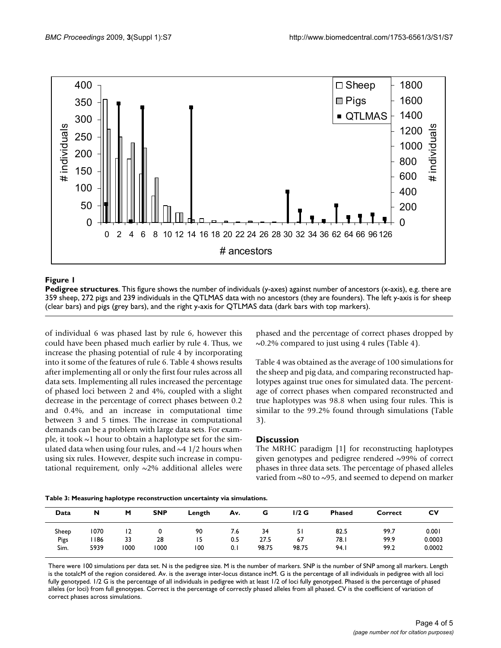

### **Figure 1**

**Pedigree structures**. This figure shows the number of individuals (y-axes) against number of ancestors (x-axis), e.g. there are 359 sheep, 272 pigs and 239 individuals in the QTLMAS data with no ancestors (they are founders). The left y-axis is for sheep (clear bars) and pigs (grey bars), and the right y-axis for QTLMAS data (dark bars with top markers).

of individual 6 was phased last by rule 6, however this could have been phased much earlier by rule 4. Thus, we increase the phasing potential of rule 4 by incorporating into it some of the features of rule 6. Table 4 shows results after implementing all or only the first four rules across all data sets. Implementing all rules increased the percentage of phased loci between 2 and 4%, coupled with a slight decrease in the percentage of correct phases between 0.2 and 0.4%, and an increase in computational time between 3 and 5 times. The increase in computational demands can be a problem with large data sets. For example, it took  $\sim$ 1 hour to obtain a haplotype set for the simulated data when using four rules, and  $\sim$  4 1/2 hours when using six rules. However, despite such increase in computational requirement, only  $\sim$ 2% additional alleles were

phased and the percentage of correct phases dropped by ~0.2% compared to just using 4 rules (Table 4).

Table 4 was obtained as the average of 100 simulations for the sheep and pig data, and comparing reconstructed haplotypes against true ones for simulated data. The percentage of correct phases when compared reconstructed and true haplotypes was 98.8 when using four rules. This is similar to the 99.2% found through simulations (Table 3).

## **Discussion**

The MRHC paradigm [1] for reconstructing haplotypes given genotypes and pedigree rendered ~99% of correct phases in three data sets. The percentage of phased alleles varied from ~80 to ~95, and seemed to depend on marker

| Data  | N    | M    | <b>SNP</b> | Length | Av. | G     | $1/2$ G | <b>Phased</b> | Correct | C٧     |
|-------|------|------|------------|--------|-----|-------|---------|---------------|---------|--------|
| Sheep | 1070 | 12   |            | 90     | 7.6 | 34    |         | 82.5          | 99.7    | 0.001  |
| Pigs  | 186  | 33   | 28         | 15     | 0.5 | 27.5  | 67      | 78.I          | 99.9    | 0.0003 |
| Sim.  | 5939 | 1000 | 1000       | 100    | 0.1 | 98.75 | 98.75   | 94.1          | 99.2    | 0.0002 |

There were 100 simulations per data set. N is the pedigree size. M is the number of markers. SNP is the number of SNP among all markers. Length is the totalcM of the region considered. Av. is the average inter-locus distance incM. G is the percentage of all individuals in pedigree with all loci fully genotyped. 1/2 G is the percentage of all individuals in pedigree with at least 1/2 of loci fully genotyped. Phased is the percentage of phased alleles (or loci) from full genotypes. Correct is the percentage of correctly phased alleles from all phased. CV is the coefficient of variation of correct phases across simulations.